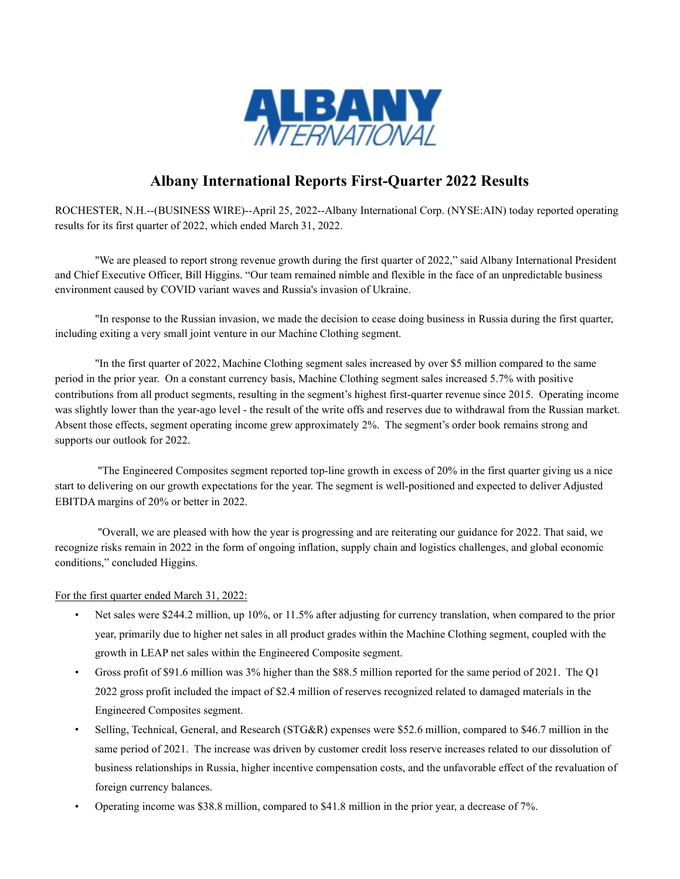

# Albany International Reports First-Quarter 2022 Results

ROCHESTER, N.H.--(BUSINESS WIRE)--April 25, 2022--Albany International Corp. (NYSE:AIN) today reported operating results for its first quarter of 2022, which ended March 31, 2022.

 "We are pleased to report strong revenue growth during the first quarter of 2022," said Albany International President and Chief Executive Officer, Bill Higgins. "Our team remained nimble and flexible in the face of an unpredictable business environment caused by COVID variant waves and Russia's invasion of Ukraine.

"In response to the Russian invasion, we made the decision to cease doing business in Russia during the first quarter, including exiting a very small joint venture in our Machine Clothing segment.

"In the first quarter of 2022, Machine Clothing segment sales increased by over \$5 million compared to the same period in the prior year. On a constant currency basis, Machine Clothing segment sales increased 5.7% with positive contributions from all product segments, resulting in the segment's highest first-quarter revenue since 2015. Operating income was slightly lower than the year-ago level - the result of the write offs and reserves due to withdrawal from the Russian market. Absent those effects, segment operating income grew approximately 2%. The segment's order book remains strong and supports our outlook for 2022.

 "The Engineered Composites segment reported top-line growth in excess of 20% in the first quarter giving us a nice start to delivering on our growth expectations for the year. The segment is well-positioned and expected to deliver Adjusted EBITDA margins of 20% or better in 2022.

 "Overall, we are pleased with how the year is progressing and are reiterating our guidance for 2022. That said, we recognize risks remain in 2022 in the form of ongoing inflation, supply chain and logistics challenges, and global economic conditions," concluded Higgins.

#### For the first quarter ended March 31, 2022:

- Net sales were \$244.2 million, up 10%, or 11.5% after adjusting for currency translation, when compared to the prior year, primarily due to higher net sales in all product grades within the Machine Clothing segment, coupled with the growth in LEAP net sales within the Engineered Composite segment.
- Gross profit of \$91.6 million was 3% higher than the \$88.5 million reported for the same period of 2021. The Q1 2022 gross profit included the impact of \$2.4 million of reserves recognized related to damaged materials in the Engineered Composites segment.
- Selling, Technical, General, and Research (STG&R) expenses were \$52.6 million, compared to \$46.7 million in the same period of 2021. The increase was driven by customer credit loss reserve increases related to our dissolution of business relationships in Russia, higher incentive compensation costs, and the unfavorable effect of the revaluation of foreign currency balances.
- Operating income was \$38.8 million, compared to \$41.8 million in the prior year, a decrease of 7%.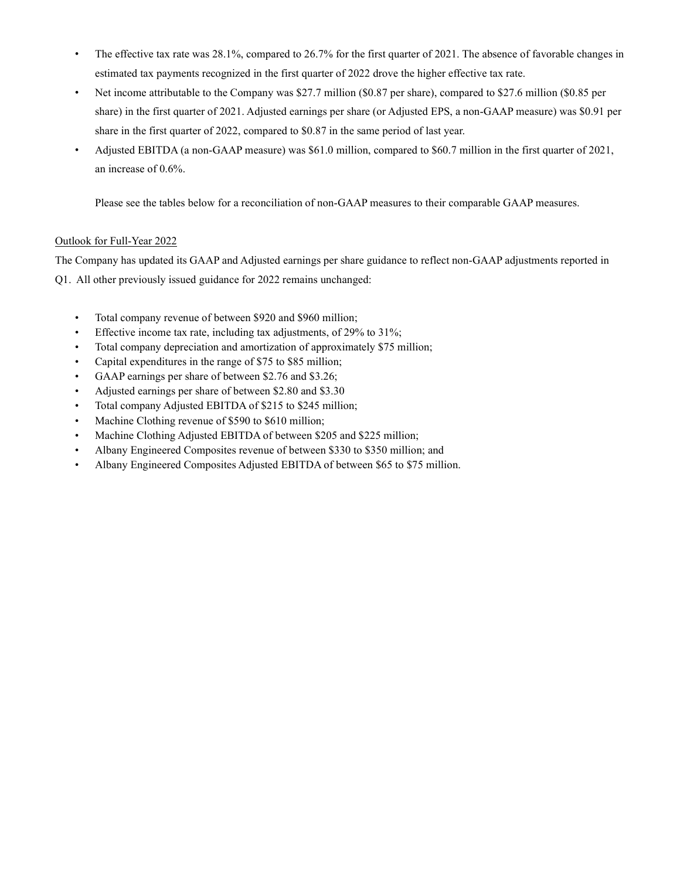- The effective tax rate was 28.1%, compared to 26.7% for the first quarter of 2021. The absence of favorable changes in estimated tax payments recognized in the first quarter of 2022 drove the higher effective tax rate.
- Net income attributable to the Company was \$27.7 million (\$0.87 per share), compared to \$27.6 million (\$0.85 per share) in the first quarter of 2021. Adjusted earnings per share (or Adjusted EPS, a non-GAAP measure) was \$0.91 per share in the first quarter of 2022, compared to \$0.87 in the same period of last year.
- Adjusted EBITDA (a non-GAAP measure) was \$61.0 million, compared to \$60.7 million in the first quarter of 2021, an increase of 0.6%.

Please see the tables below for a reconciliation of non-GAAP measures to their comparable GAAP measures.

### Outlook for Full-Year 2022

The Company has updated its GAAP and Adjusted earnings per share guidance to reflect non-GAAP adjustments reported in Q1. All other previously issued guidance for 2022 remains unchanged:

- Total company revenue of between \$920 and \$960 million;
- Effective income tax rate, including tax adjustments, of 29% to 31%;
- Total company depreciation and amortization of approximately \$75 million;
- Capital expenditures in the range of \$75 to \$85 million;
- GAAP earnings per share of between \$2.76 and \$3.26;
- Adjusted earnings per share of between \$2.80 and \$3.30
- Total company Adjusted EBITDA of \$215 to \$245 million;
- Machine Clothing revenue of \$590 to \$610 million;
- Machine Clothing Adjusted EBITDA of between \$205 and \$225 million;
- Albany Engineered Composites revenue of between \$330 to \$350 million; and
- Albany Engineered Composites Adjusted EBITDA of between \$65 to \$75 million.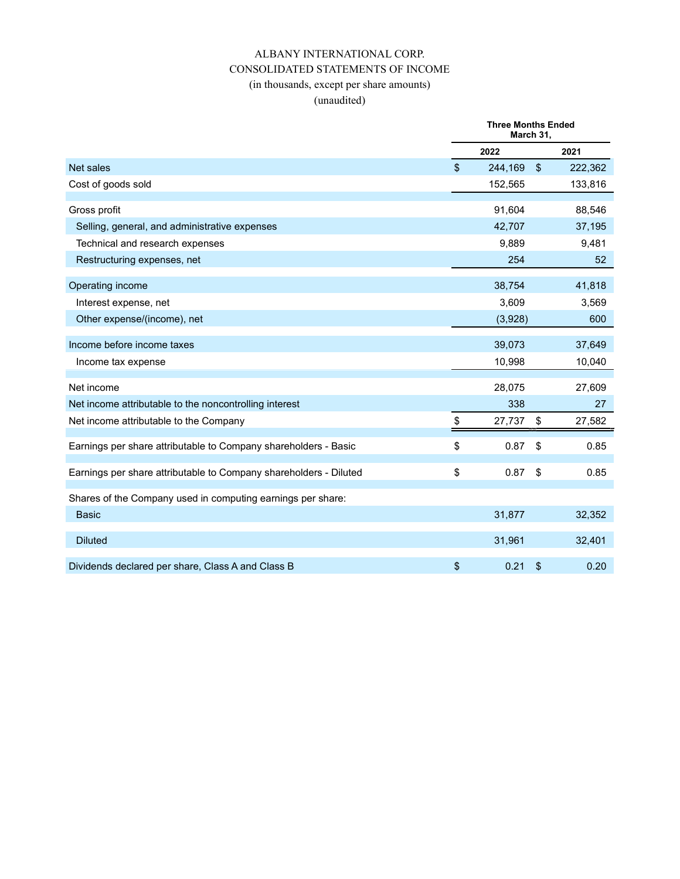## ALBANY INTERNATIONAL CORP. CONSOLIDATED STATEMENTS OF INCOME (in thousands, except per share amounts)

### (unaudited)

|                                                                   | <b>Three Months Ended</b><br>March 31. |            |                 |
|-------------------------------------------------------------------|----------------------------------------|------------|-----------------|
|                                                                   | 2022                                   |            | 2021            |
| Net sales                                                         | \$<br>244,169                          | $\sqrt{2}$ | 222,362         |
| Cost of goods sold                                                | 152,565                                |            | 133,816         |
| Gross profit                                                      | 91,604                                 |            | 88,546          |
| Selling, general, and administrative expenses                     | 42,707                                 |            | 37,195          |
| Technical and research expenses                                   | 9,889                                  |            | 9,481           |
| Restructuring expenses, net                                       | 254                                    |            | 52 <sub>2</sub> |
| Operating income                                                  | 38,754                                 |            | 41,818          |
| Interest expense, net                                             | 3,609                                  |            | 3,569           |
| Other expense/(income), net                                       | (3,928)                                |            | 600             |
| Income before income taxes                                        | 39,073                                 |            | 37,649          |
| Income tax expense                                                | 10,998                                 |            | 10,040          |
| Net income                                                        | 28,075                                 |            | 27,609          |
| Net income attributable to the noncontrolling interest            | 338                                    |            | 27              |
| Net income attributable to the Company                            | \$<br>27,737                           | \$         | 27,582          |
| Earnings per share attributable to Company shareholders - Basic   | \$<br>0.87                             | \$         | 0.85            |
| Earnings per share attributable to Company shareholders - Diluted | \$<br>0.87                             | \$         | 0.85            |
| Shares of the Company used in computing earnings per share:       |                                        |            |                 |
| <b>Basic</b>                                                      | 31,877                                 |            | 32,352          |
| <b>Diluted</b>                                                    | 31,961                                 |            | 32,401          |
| Dividends declared per share, Class A and Class B                 | \$<br>0.21                             | \$         | 0.20            |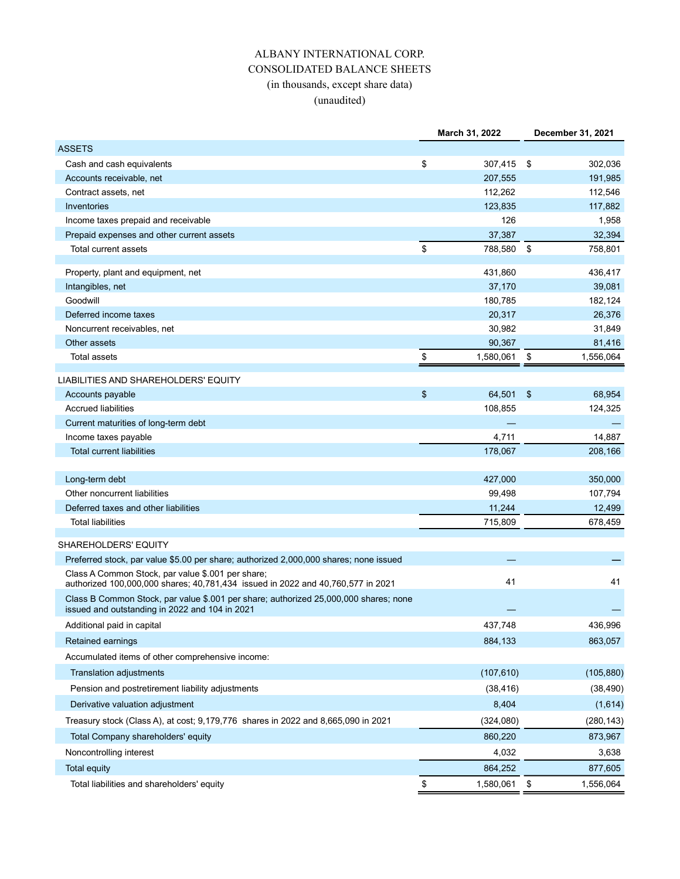# ALBANY INTERNATIONAL CORP. CONSOLIDATED BALANCE SHEETS (in thousands, except share data) (unaudited)

|                                                                                                                                        | March 31, 2022  |     | December 31, 2021 |
|----------------------------------------------------------------------------------------------------------------------------------------|-----------------|-----|-------------------|
| <b>ASSETS</b>                                                                                                                          |                 |     |                   |
| Cash and cash equivalents                                                                                                              | \$<br>307,415   | -\$ | 302,036           |
| Accounts receivable, net                                                                                                               | 207,555         |     | 191,985           |
| Contract assets, net                                                                                                                   | 112,262         |     | 112,546           |
| Inventories                                                                                                                            | 123,835         |     | 117,882           |
| Income taxes prepaid and receivable                                                                                                    | 126             |     | 1,958             |
| Prepaid expenses and other current assets                                                                                              | 37,387          |     | 32,394            |
| Total current assets                                                                                                                   | \$<br>788,580   | \$  | 758,801           |
| Property, plant and equipment, net                                                                                                     | 431,860         |     | 436,417           |
| Intangibles, net                                                                                                                       | 37,170          |     | 39,081            |
| Goodwill                                                                                                                               | 180,785         |     | 182,124           |
| Deferred income taxes                                                                                                                  | 20,317          |     | 26,376            |
| Noncurrent receivables, net                                                                                                            | 30,982          |     | 31,849            |
| Other assets                                                                                                                           | 90,367          |     | 81,416            |
| <b>Total assets</b>                                                                                                                    | \$<br>1,580,061 | \$  | 1,556,064         |
| LIABILITIES AND SHAREHOLDERS' EQUITY                                                                                                   |                 |     |                   |
| Accounts payable                                                                                                                       | \$<br>64,501    | \$  | 68,954            |
| <b>Accrued liabilities</b>                                                                                                             | 108,855         |     | 124,325           |
| Current maturities of long-term debt                                                                                                   |                 |     |                   |
| Income taxes payable                                                                                                                   | 4,711           |     | 14,887            |
| <b>Total current liabilities</b>                                                                                                       | 178,067         |     | 208,166           |
| Long-term debt                                                                                                                         | 427,000         |     | 350,000           |
| Other noncurrent liabilities                                                                                                           | 99,498          |     | 107,794           |
| Deferred taxes and other liabilities                                                                                                   | 11,244          |     | 12,499            |
| <b>Total liabilities</b>                                                                                                               | 715,809         |     | 678,459           |
| SHAREHOLDERS' EQUITY                                                                                                                   |                 |     |                   |
| Preferred stock, par value \$5.00 per share; authorized 2,000,000 shares; none issued                                                  |                 |     |                   |
| Class A Common Stock, par value \$.001 per share;<br>authorized 100,000,000 shares; 40,781,434 issued in 2022 and 40,760,577 in 2021   | 41              |     | 41                |
| Class B Common Stock, par value \$.001 per share; authorized 25,000,000 shares; none<br>issued and outstanding in 2022 and 104 in 2021 |                 |     |                   |
| Additional paid in capital                                                                                                             | 437,748         |     | 436,996           |
| <b>Retained earnings</b>                                                                                                               | 884,133         |     | 863,057           |
| Accumulated items of other comprehensive income:                                                                                       |                 |     |                   |
| <b>Translation adjustments</b>                                                                                                         | (107, 610)      |     | (105, 880)        |
| Pension and postretirement liability adjustments                                                                                       | (38, 416)       |     | (38, 490)         |
| Derivative valuation adjustment                                                                                                        | 8,404           |     | (1,614)           |
| Treasury stock (Class A), at cost; 9,179,776 shares in 2022 and 8,665,090 in 2021                                                      | (324,080)       |     | (280, 143)        |
| Total Company shareholders' equity                                                                                                     | 860,220         |     | 873,967           |
| Noncontrolling interest                                                                                                                | 4,032           |     | 3,638             |
| <b>Total equity</b>                                                                                                                    | 864,252         |     | 877,605           |
| Total liabilities and shareholders' equity                                                                                             | \$<br>1,580,061 | \$  | 1,556,064         |
|                                                                                                                                        |                 |     |                   |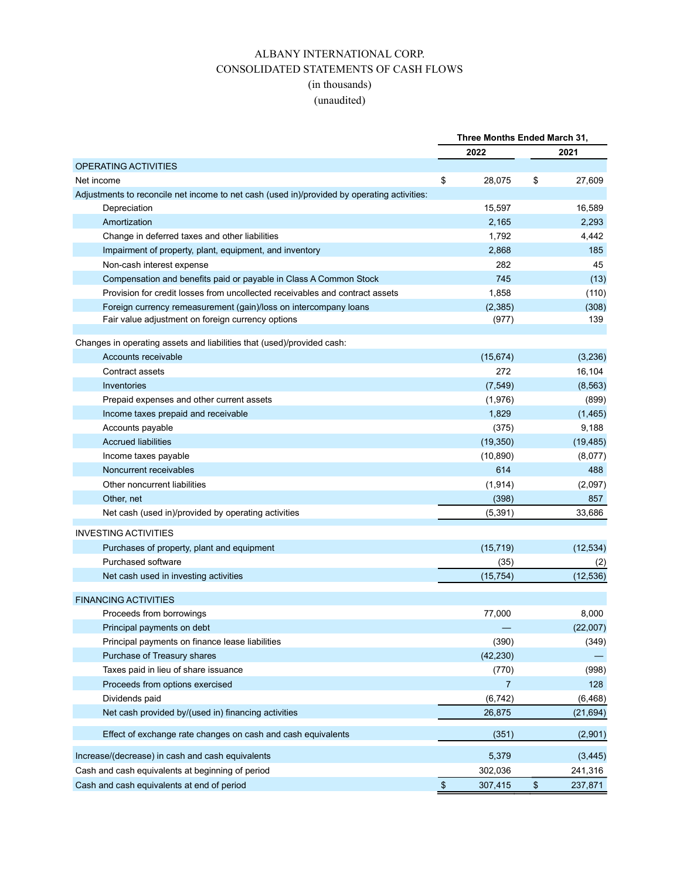### ALBANY INTERNATIONAL CORP. CONSOLIDATED STATEMENTS OF CASH FLOWS (in thousands)

# (unaudited)

|                                                                                             |            | Three Months Ended March 31, |               |
|---------------------------------------------------------------------------------------------|------------|------------------------------|---------------|
|                                                                                             |            | 2022                         | 2021          |
| OPERATING ACTIVITIES                                                                        |            |                              |               |
| Net income                                                                                  | \$         | 28,075                       | \$<br>27,609  |
| Adjustments to reconcile net income to net cash (used in)/provided by operating activities: |            |                              |               |
| Depreciation                                                                                |            | 15,597                       | 16,589        |
| Amortization                                                                                |            | 2,165                        | 2,293         |
| Change in deferred taxes and other liabilities                                              |            | 1,792                        | 4,442         |
| Impairment of property, plant, equipment, and inventory                                     |            | 2,868                        | 185           |
| Non-cash interest expense                                                                   |            | 282                          | 45            |
| Compensation and benefits paid or payable in Class A Common Stock                           |            | 745                          | (13)          |
| Provision for credit losses from uncollected receivables and contract assets                |            | 1,858                        | (110)         |
| Foreign currency remeasurement (gain)/loss on intercompany loans                            |            | (2,385)                      | (308)         |
| Fair value adjustment on foreign currency options                                           |            | (977)                        | 139           |
|                                                                                             |            |                              |               |
| Changes in operating assets and liabilities that (used)/provided cash:                      |            |                              |               |
| Accounts receivable                                                                         |            | (15, 674)<br>272             | (3,236)       |
| Contract assets                                                                             |            |                              | 16,104        |
| Inventories                                                                                 |            | (7, 549)                     | (8, 563)      |
| Prepaid expenses and other current assets                                                   |            | (1,976)                      | (899)         |
| Income taxes prepaid and receivable                                                         |            | 1,829                        | (1,465)       |
| Accounts payable                                                                            |            | (375)                        | 9,188         |
| <b>Accrued liabilities</b>                                                                  |            | (19, 350)                    | (19, 485)     |
| Income taxes payable                                                                        |            | (10, 890)                    | (8,077)       |
| Noncurrent receivables                                                                      |            | 614                          | 488           |
| Other noncurrent liabilities                                                                |            | (1, 914)                     | (2,097)       |
| Other, net                                                                                  |            | (398)                        | 857           |
| Net cash (used in)/provided by operating activities                                         |            | (5, 391)                     | 33,686        |
| <b>INVESTING ACTIVITIES</b>                                                                 |            |                              |               |
| Purchases of property, plant and equipment                                                  |            | (15, 719)                    | (12, 534)     |
| Purchased software                                                                          |            | (35)                         | (2)           |
| Net cash used in investing activities                                                       |            | (15, 754)                    | (12, 536)     |
|                                                                                             |            |                              |               |
| <b>FINANCING ACTIVITIES</b>                                                                 |            |                              |               |
| Proceeds from borrowings                                                                    |            | 77,000                       | 8,000         |
| Principal payments on debt                                                                  |            |                              | (22,007)      |
| Principal payments on finance lease liabilities                                             |            | (390)                        | (349)         |
| Purchase of Treasury shares                                                                 |            | (42, 230)                    |               |
| Taxes paid in lieu of share issuance                                                        |            | (770)                        | (998)         |
| Proceeds from options exercised                                                             |            | $\overline{7}$               | 128           |
| Dividends paid                                                                              |            | (6, 742)                     | (6, 468)      |
| Net cash provided by/(used in) financing activities                                         |            | 26,875                       | (21, 694)     |
| Effect of exchange rate changes on cash and cash equivalents                                |            | (351)                        | (2,901)       |
| Increase/(decrease) in cash and cash equivalents                                            |            | 5,379                        | (3, 445)      |
| Cash and cash equivalents at beginning of period                                            |            | 302,036                      | 241,316       |
| Cash and cash equivalents at end of period                                                  | $\pmb{\$}$ | 307,415                      | \$<br>237,871 |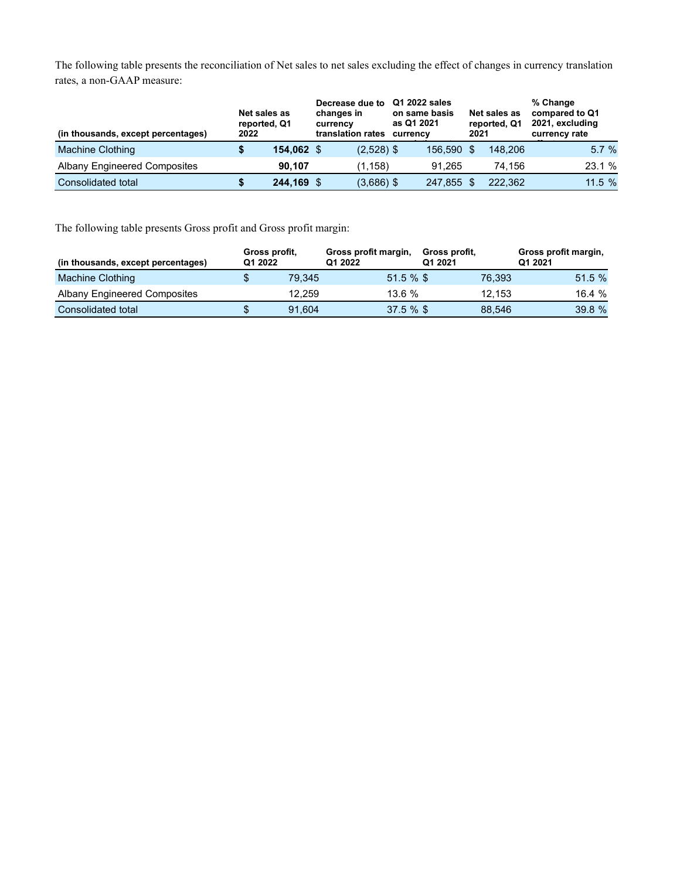The following table presents the reconciliation of Net sales to net sales excluding the effect of changes in currency translation rates, a non-GAAP measure:

| (in thousands, except percentages)  | 2022 | Net sales as<br>reported, Q1 | Decrease due to<br>changes in<br>currency<br>translation rates |              | Q1 2022 sales<br>on same basis<br>as Q1 2021<br>currency |            | 2021 | Net sales as<br>reported, Q1 | % Change<br>compared to Q1<br>2021, excluding<br>currency rate |  |
|-------------------------------------|------|------------------------------|----------------------------------------------------------------|--------------|----------------------------------------------------------|------------|------|------------------------------|----------------------------------------------------------------|--|
| Machine Clothing                    |      | 154,062 \$                   |                                                                | $(2,528)$ \$ |                                                          | 156,590 \$ |      | 148,206                      | 5.7%                                                           |  |
| <b>Albany Engineered Composites</b> |      | 90.107                       |                                                                | (1.158)      |                                                          | 91.265     |      | 74.156                       | 23.1 %                                                         |  |
| Consolidated total                  |      | 244,169 \$                   |                                                                | $(3,686)$ \$ |                                                          | 247.855    |      | 222.362                      | 11.5%                                                          |  |

The following table presents Gross profit and Gross profit margin:

| (in thousands, except percentages) | Gross profit.<br>Q1 2022 |        | Gross profit margin,<br>Q1 2022 | Gross profit.<br>Q1 2021 |        | Gross profit margin,<br>Q1 2021 |
|------------------------------------|--------------------------|--------|---------------------------------|--------------------------|--------|---------------------------------|
| Machine Clothing                   |                          | 79.345 | 51.5%                           |                          | 76.393 | 51.5%                           |
| Albany Engineered Composites       |                          | 12.259 | 13.6%                           |                          | 12.153 | 16.4 %                          |
| Consolidated total                 |                          | 91.604 | 37.5%                           |                          | 88.546 | 39.8 %                          |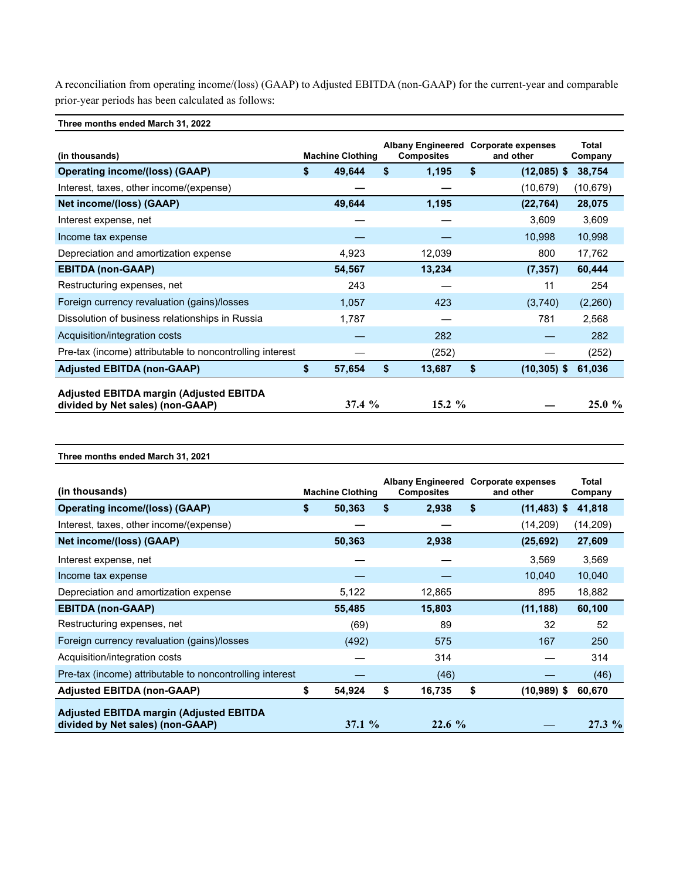A reconciliation from operating income/(loss) (GAAP) to Adjusted EBITDA (non-GAAP) for the current-year and comparable prior-year periods has been calculated as follows:

Three months ended March 31, 2022

Three months ended March 31, 2021

| (in thousands)                                                                     | <b>Machine Clothing</b> |    | Albany Engineered Corporate expenses<br><b>Composites</b> | and other            | <b>Total</b><br>Company |
|------------------------------------------------------------------------------------|-------------------------|----|-----------------------------------------------------------|----------------------|-------------------------|
| <b>Operating income/(loss) (GAAP)</b>                                              | \$<br>49,644            | \$ | 1,195                                                     | \$<br>$(12,085)$ \$  | 38,754                  |
| Interest, taxes, other income/(expense)                                            |                         |    |                                                           | (10,679)             | (10, 679)               |
| Net income/(loss) (GAAP)                                                           | 49,644                  |    | 1,195                                                     | (22, 764)            | 28,075                  |
| Interest expense, net                                                              |                         |    |                                                           | 3,609                | 3,609                   |
| Income tax expense                                                                 |                         |    |                                                           | 10,998               | 10,998                  |
| Depreciation and amortization expense                                              | 4,923                   |    | 12,039                                                    | 800                  | 17,762                  |
| <b>EBITDA (non-GAAP)</b>                                                           | 54,567                  |    | 13,234                                                    | (7, 357)             | 60,444                  |
| Restructuring expenses, net                                                        | 243                     |    |                                                           | 11                   | 254                     |
| Foreign currency revaluation (gains)/losses                                        | 1,057                   |    | 423                                                       | (3,740)              | (2,260)                 |
| Dissolution of business relationships in Russia                                    | 1,787                   |    |                                                           | 781                  | 2,568                   |
| Acquisition/integration costs                                                      |                         |    | 282                                                       |                      | 282                     |
| Pre-tax (income) attributable to noncontrolling interest                           |                         |    | (252)                                                     |                      | (252)                   |
| <b>Adjusted EBITDA (non-GAAP)</b>                                                  | \$<br>57,654            | S  | 13,687                                                    | \$<br>$(10, 305)$ \$ | 61,036                  |
| <b>Adjusted EBITDA margin (Adjusted EBITDA</b><br>divided by Net sales) (non-GAAP) | 37.4%                   |    | $15.2 \%$                                                 |                      | $25.0 \%$               |

| (in thousands)                                                                     | <b>Machine Clothing</b> | Albany Engineered Corporate expenses<br><b>Composites</b> | and other            | Total<br>Company |
|------------------------------------------------------------------------------------|-------------------------|-----------------------------------------------------------|----------------------|------------------|
| <b>Operating income/(loss) (GAAP)</b>                                              | \$<br>50,363            | \$<br>2,938                                               | \$<br>$(11, 483)$ \$ | 41,818           |
| Interest, taxes, other income/(expense)                                            |                         |                                                           | (14,209)             | (14, 209)        |
| Net income/(loss) (GAAP)                                                           | 50,363                  | 2,938                                                     | (25, 692)            | 27,609           |
| Interest expense, net                                                              |                         |                                                           | 3,569                | 3,569            |
| Income tax expense                                                                 |                         |                                                           | 10,040               | 10,040           |
| Depreciation and amortization expense                                              | 5,122                   | 12,865                                                    | 895                  | 18,882           |
| <b>EBITDA (non-GAAP)</b>                                                           | 55,485                  | 15,803                                                    | (11, 188)            | 60,100           |
| Restructuring expenses, net                                                        | (69)                    | 89                                                        | 32                   | 52               |
| Foreign currency revaluation (gains)/losses                                        | (492)                   | 575                                                       | 167                  | 250              |
| Acquisition/integration costs                                                      |                         | 314                                                       |                      | 314              |
| Pre-tax (income) attributable to noncontrolling interest                           |                         | (46)                                                      |                      | (46)             |
| <b>Adjusted EBITDA (non-GAAP)</b>                                                  | \$<br>54,924            | \$<br>16,735                                              | \$<br>$(10,989)$ \$  | 60,670           |
| <b>Adjusted EBITDA margin (Adjusted EBITDA</b><br>divided by Net sales) (non-GAAP) | $37.1 \%$               | 22.6%                                                     |                      | $27.3\%$         |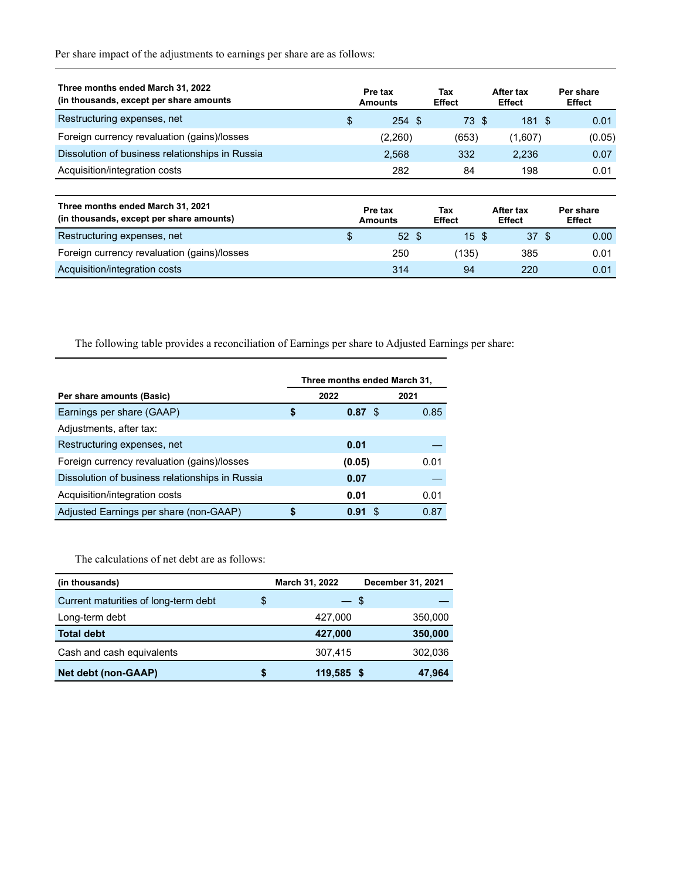Per share impact of the adjustments to earnings per share are as follows:

| Three months ended March 31, 2022<br>(in thousands, except per share amounts) | Pre tax<br><b>Amounts</b> | Tax<br><b>Effect</b> | After tax<br><b>Effect</b> | Per share<br><b>Effect</b> |
|-------------------------------------------------------------------------------|---------------------------|----------------------|----------------------------|----------------------------|
| Restructuring expenses, net                                                   | \$<br>254S                | 73S                  | 181S                       | 0.01                       |
| Foreign currency revaluation (gains)/losses                                   | (2,260)                   | (653)                | (1,607)                    | (0.05)                     |
| Dissolution of business relationships in Russia                               | 2,568                     | 332                  | 2,236                      | 0.07                       |
| Acquisition/integration costs                                                 | 282                       | 84                   | 198                        | 0.01                       |
|                                                                               |                           |                      |                            |                            |
| Three months ended March 31, 2021<br>(in thousands, except per share amounts) | Pre tax<br><b>Amounts</b> | Tax<br><b>Effect</b> | After tax<br><b>Effect</b> | Per share<br><b>Effect</b> |
| Restructuring expenses, net                                                   | \$<br>52 <sub>5</sub>     | 15S                  | 37 <sup>°</sup>            | 0.00                       |
| Foreign currency revaluation (gains)/losses                                   | 250                       | (135)                | 385                        | 0.01                       |
| Acquisition/integration costs                                                 | 314                       | 94                   | 220                        | 0.01                       |

The following table provides a reconciliation of Earnings per share to Adjusted Earnings per share:

|                                                 | Three months ended March 31, |           |      |  |  |  |  |
|-------------------------------------------------|------------------------------|-----------|------|--|--|--|--|
| Per share amounts (Basic)                       | 2022                         |           | 2021 |  |  |  |  |
| Earnings per share (GAAP)                       | S                            | $0.87$ \$ | 0.85 |  |  |  |  |
| Adjustments, after tax:                         |                              |           |      |  |  |  |  |
| Restructuring expenses, net                     |                              | 0.01      |      |  |  |  |  |
| Foreign currency revaluation (gains)/losses     |                              | (0.05)    | 0.01 |  |  |  |  |
| Dissolution of business relationships in Russia |                              | 0.07      |      |  |  |  |  |
| Acquisition/integration costs                   |                              | 0.01      | 0.01 |  |  |  |  |
| Adjusted Earnings per share (non-GAAP)          |                              | Я<br>0.91 | 0.87 |  |  |  |  |

The calculations of net debt are as follows:

| (in thousands)                       |   | March 31, 2022 | December 31, 2021 |
|--------------------------------------|---|----------------|-------------------|
| Current maturities of long-term debt | S | — S            |                   |
| Long-term debt                       |   | 427,000        | 350,000           |
| <b>Total debt</b>                    |   | 427,000        | 350,000           |
| Cash and cash equivalents            |   | 307,415        | 302,036           |
| <b>Net debt (non-GAAP)</b>           |   | 119,585 \$     | 47,964            |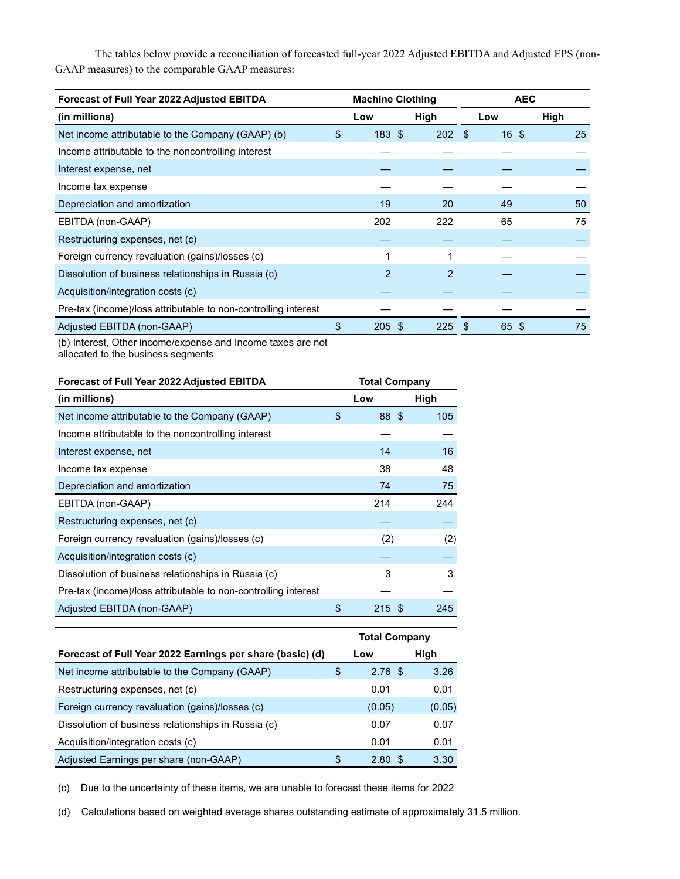The tables below provide a reconciliation of forecasted full-year 2022 Adjusted EBITDA and Adjusted EPS (non-GAAP measures) to the comparable GAAP measures:

| Forecast of Full Year 2022 Adjusted EBITDA                     | <b>Machine Clothing</b> |      | <b>AEC</b> |      |  |  |
|----------------------------------------------------------------|-------------------------|------|------------|------|--|--|
| (in millions)                                                  | Low                     | High | Low        | High |  |  |
| Net income attributable to the Company (GAAP) (b)              | \$<br>183S              | 202S | 16S        | 25   |  |  |
| Income attributable to the noncontrolling interest             |                         |      |            |      |  |  |
| Interest expense, net                                          |                         |      |            |      |  |  |
| Income tax expense                                             |                         |      |            |      |  |  |
| Depreciation and amortization                                  | 19                      | 20   | 49         | 50   |  |  |
| EBITDA (non-GAAP)                                              | 202                     | 222  | 65         | 75   |  |  |
| Restructuring expenses, net (c)                                |                         |      |            |      |  |  |
| Foreign currency revaluation (gains)/losses (c)                |                         | 1    |            |      |  |  |
| Dissolution of business relationships in Russia (c)            | 2                       | 2    |            |      |  |  |
| Acquisition/integration costs (c)                              |                         |      |            |      |  |  |
| Pre-tax (income)/loss attributable to non-controlling interest |                         |      |            |      |  |  |
| Adjusted EBITDA (non-GAAP)                                     | \$<br>$205 \text{ } $$  | 225  | 65 \$      | 75   |  |  |

(b) Interest, Other income/expense and Income taxes are not allocated to the business segments

| Forecast of Full Year 2022 Adjusted EBITDA                     | <b>Total Company</b> |               |      |  |
|----------------------------------------------------------------|----------------------|---------------|------|--|
| (in millions)                                                  |                      | Low           | High |  |
| Net income attributable to the Company (GAAP)                  | \$                   | 88 \$         | 105  |  |
| Income attributable to the noncontrolling interest             |                      |               |      |  |
| Interest expense, net                                          |                      | 14            | 16   |  |
| Income tax expense                                             |                      | 38            | 48   |  |
| Depreciation and amortization                                  |                      | 74            | 75   |  |
| EBITDA (non-GAAP)                                              |                      | 214           | 244  |  |
| Restructuring expenses, net (c)                                |                      |               |      |  |
| Foreign currency revaluation (gains)/losses (c)                |                      | (2)           | (2)  |  |
| Acquisition/integration costs (c)                              |                      |               |      |  |
| Dissolution of business relationships in Russia (c)            |                      | 3             | 3    |  |
| Pre-tax (income)/loss attributable to non-controlling interest |                      |               |      |  |
| Adjusted EBITDA (non-GAAP)                                     | \$                   | $215$ \$      | 245  |  |
|                                                                |                      |               |      |  |
|                                                                |                      | Total Company |      |  |

| <b>Total Company</b> |        |
|----------------------|--------|
| Low                  | High   |
| 2.76 <sup>5</sup>    | 3.26   |
| 0.01                 | 0.01   |
| (0.05)               | (0.05) |
| 0.07                 | 0.07   |
| 0.01                 | 0.01   |
| 2.80 <sup>5</sup>    | 3.30   |
|                      |        |

(c) Due to the uncertainty of these items, we are unable to forecast these items for 2022

(d) Calculations based on weighted average shares outstanding estimate of approximately 31.5 million.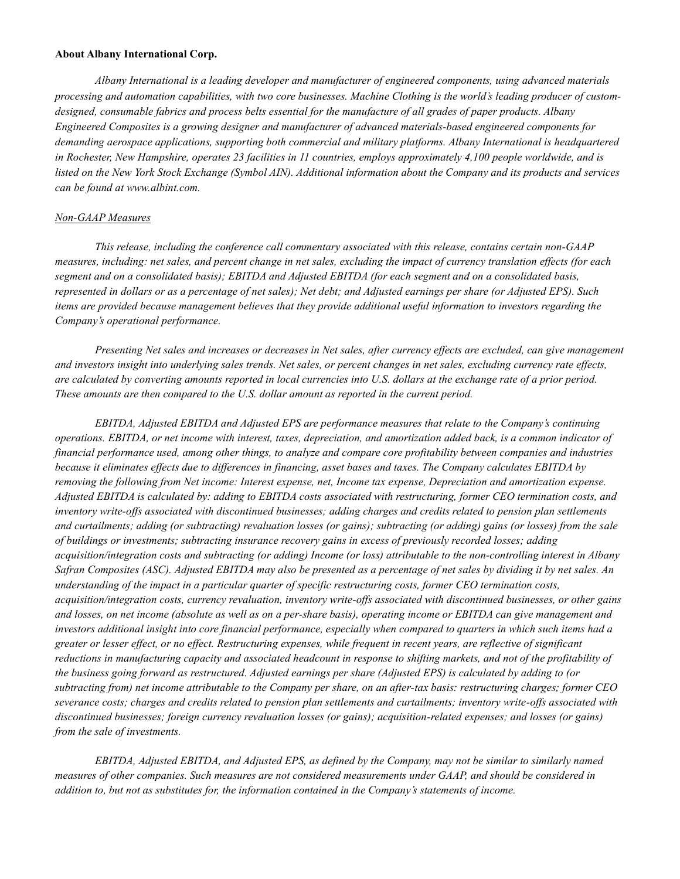#### About Albany International Corp.

Albany International is a leading developer and manufacturer of engineered components, using advanced materials processing and automation capabilities, with two core businesses. Machine Clothing is the world's leading producer of customdesigned, consumable fabrics and process belts essential for the manufacture of all grades of paper products. Albany Engineered Composites is a growing designer and manufacturer of advanced materials-based engineered components for demanding aerospace applications, supporting both commercial and military platforms. Albany International is headquartered in Rochester, New Hampshire, operates 23 facilities in 11 countries, employs approximately 4,100 people worldwide, and is listed on the New York Stock Exchange (Symbol AIN). Additional information about the Company and its products and services can be found at www.albint.com.

#### Non-GAAP Measures

This release, including the conference call commentary associated with this release, contains certain non-GAAP measures, including: net sales, and percent change in net sales, excluding the impact of currency translation effects (for each segment and on a consolidated basis); EBITDA and Adjusted EBITDA (for each segment and on a consolidated basis, represented in dollars or as a percentage of net sales); Net debt; and Adjusted earnings per share (or Adjusted EPS). Such items are provided because management believes that they provide additional useful information to investors regarding the Company's operational performance.

Presenting Net sales and increases or decreases in Net sales, after currency effects are excluded, can give management and investors insight into underlying sales trends. Net sales, or percent changes in net sales, excluding currency rate effects, are calculated by converting amounts reported in local currencies into U.S. dollars at the exchange rate of a prior period. These amounts are then compared to the U.S. dollar amount as reported in the current period.

EBITDA, Adjusted EBITDA and Adjusted EPS are performance measures that relate to the Company's continuing operations. EBITDA, or net income with interest, taxes, depreciation, and amortization added back, is a common indicator of financial performance used, among other things, to analyze and compare core profitability between companies and industries because it eliminates effects due to differences in financing, asset bases and taxes. The Company calculates EBITDA by removing the following from Net income: Interest expense, net, Income tax expense, Depreciation and amortization expense. Adjusted EBITDA is calculated by: adding to EBITDA costs associated with restructuring, former CEO termination costs, and inventory write-offs associated with discontinued businesses; adding charges and credits related to pension plan settlements and curtailments; adding (or subtracting) revaluation losses (or gains); subtracting (or adding) gains (or losses) from the sale of buildings or investments; subtracting insurance recovery gains in excess of previously recorded losses; adding acquisition/integration costs and subtracting (or adding) Income (or loss) attributable to the non-controlling interest in Albany Safran Composites (ASC). Adjusted EBITDA may also be presented as a percentage of net sales by dividing it by net sales. An understanding of the impact in a particular quarter of specific restructuring costs, former CEO termination costs, acquisition/integration costs, currency revaluation, inventory write-offs associated with discontinued businesses, or other gains and losses, on net income (absolute as well as on a per-share basis), operating income or EBITDA can give management and investors additional insight into core financial performance, especially when compared to quarters in which such items had a greater or lesser effect, or no effect. Restructuring expenses, while frequent in recent years, are reflective of significant reductions in manufacturing capacity and associated headcount in response to shifting markets, and not of the profitability of the business going forward as restructured. Adjusted earnings per share (Adjusted EPS) is calculated by adding to (or subtracting from) net income attributable to the Company per share, on an after-tax basis: restructuring charges; former CEO severance costs; charges and credits related to pension plan settlements and curtailments; inventory write-offs associated with discontinued businesses; foreign currency revaluation losses (or gains); acquisition-related expenses; and losses (or gains) from the sale of investments.

EBITDA, Adjusted EBITDA, and Adjusted EPS, as defined by the Company, may not be similar to similarly named measures of other companies. Such measures are not considered measurements under GAAP, and should be considered in addition to, but not as substitutes for, the information contained in the Company's statements of income.